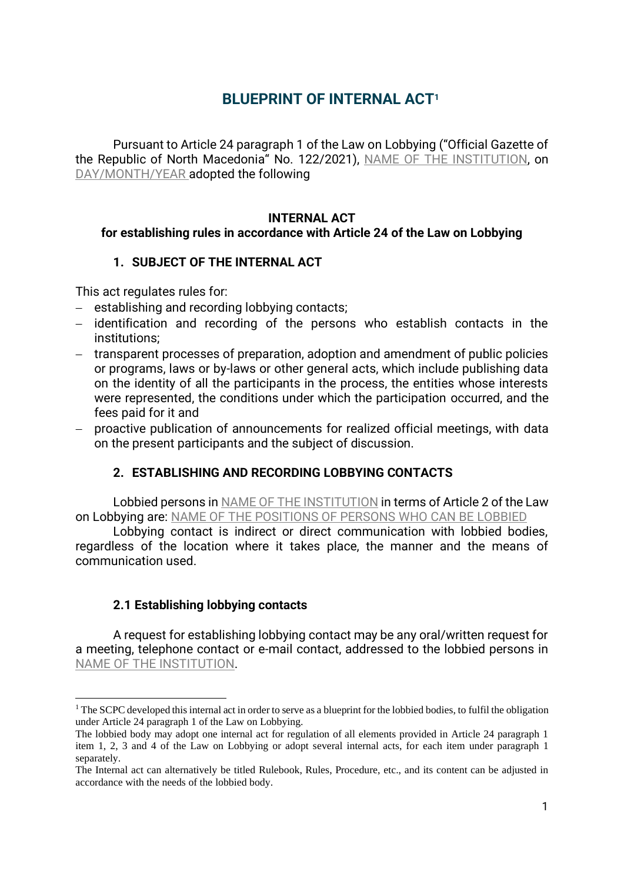# **BLUEPRINT OF INTERNAL ACT<sup>1</sup>**

Pursuant to Article 24 paragraph 1 of the Law on Lobbying ("Official Gazette of the Republic of North Macedonia" No. 122/2021), NAME OF THE INSTITUTION, on DAY/MONTH/YEAR adopted the following

#### **INTERNAL ACT**

#### **for establishing rules in accordance with Article 24 of the Law on Lobbying**

#### **1. SUBJECT OF THE INTERNAL ACT**

This act regulates rules for:

- − establishing and recording lobbying contacts;
- − identification and recording of the persons who establish contacts in the institutions;
- − transparent processes of preparation, adoption and amendment of public policies or programs, laws or by-laws or other general acts, which include publishing data on the identity of all the participants in the process, the entities whose interests were represented, the conditions under which the participation occurred, and the fees paid for it and
- − proactive publication of announcements for realized official meetings, with data on the present participants and the subject of discussion.

## **2. ESTABLISHING AND RECORDING LOBBYING CONTACTS**

Lobbied persons in NAME OF THE INSTITUTION in terms of Article 2 of the Law on Lobbying are: NAME OF THE POSITIONS OF PERSONS WHO CAN BE LOBBIED

Lobbying contact is indirect or direct communication with lobbied bodies, regardless of the location where it takes place, the manner and the means of communication used.

## **2.1 Establishing lobbying contacts**

A request for establishing lobbying contact may be any oral/written request for a meeting, telephone contact or e-mail contact, addressed to the lobbied persons in NAME OF THE INSTITUTION.

<sup>&</sup>lt;sup>1</sup> The SCPC developed this internal act in order to serve as a blueprint for the lobbied bodies, to fulfil the obligation under Article 24 paragraph 1 of the Law on Lobbying.

The lobbied body may adopt one internal act for regulation of all elements provided in Article 24 paragraph 1 item 1, 2, 3 and 4 of the Law on Lobbying or adopt several internal acts, for each item under paragraph 1 separately.

The Internal act can alternatively be titled Rulebook, Rules, Procedure, etc., and its content can be adjusted in accordance with the needs of the lobbied body.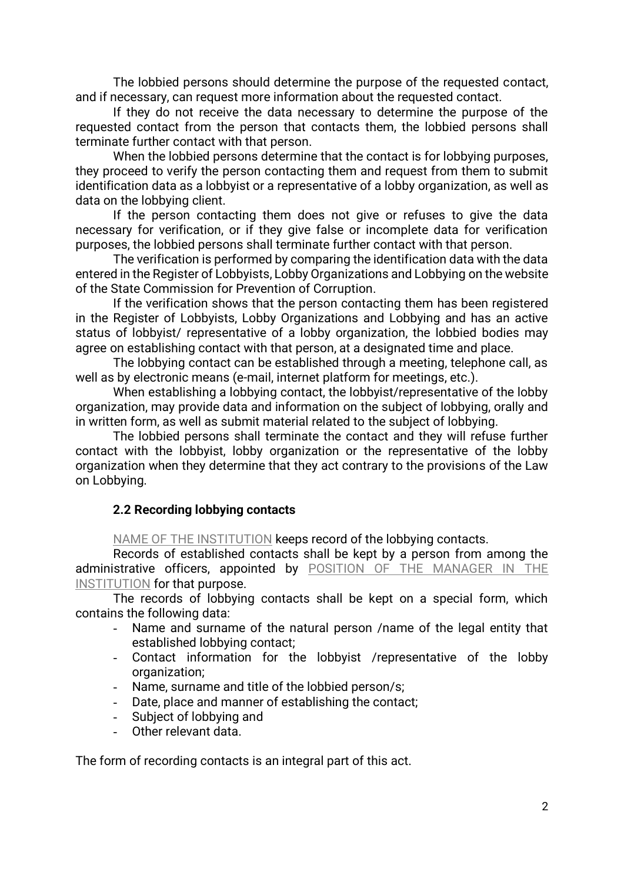The lobbied persons should determine the purpose of the requested contact, and if necessary, can request more information about the requested contact.

If they do not receive the data necessary to determine the purpose of the requested contact from the person that contacts them, the lobbied persons shall terminate further contact with that person.

When the lobbied persons determine that the contact is for lobbying purposes, they proceed to verify the person contacting them and request from them to submit identification data as a lobbyist or a representative of a lobby organization, as well as data on the lobbying client.

If the person contacting them does not give or refuses to give the data necessary for verification, or if they give false or incomplete data for verification purposes, the lobbied persons shall terminate further contact with that person.

The verification is performed by comparing the identification data with the data entered in the Register of Lobbyists, Lobby Organizations and Lobbying on the website of the State Commission for Prevention of Corruption.

If the verification shows that the person contacting them has been registered in the Register of Lobbyists, Lobby Organizations and Lobbying and has an active status of lobbyist/ representative of a lobby organization, the lobbied bodies may agree on establishing contact with that person, at a designated time and place.

The lobbying contact can be established through a meeting, telephone call, as well as by electronic means (e-mail, internet platform for meetings, etc.).

When establishing a lobbying contact, the lobbyist/representative of the lobby organization, may provide data and information on the subject of lobbying, orally and in written form, as well as submit material related to the subject of lobbying.

The lobbied persons shall terminate the contact and they will refuse further contact with the lobbyist, lobby organization or the representative of the lobby organization when they determine that they act contrary to the provisions of the Law on Lobbying.

## **2.2 Recording lobbying contacts**

NAME OF THE INSTITUTION keeps record of the lobbying contacts.

Records of established contacts shall be kept by a person from among the administrative officers, appointed by POSITION OF THE MANAGER IN THE INSTITUTION for that purpose.

The records of lobbying contacts shall be kept on a special form, which contains the following data:

- Name and surname of the natural person /name of the legal entity that established lobbying contact;
- Contact information for the lobbyist /representative of the lobby organization;
- Name, surname and title of the lobbied person/s;
- Date, place and manner of establishing the contact;
- Subject of lobbying and
- Other relevant data.

The form of recording contacts is an integral part of this act.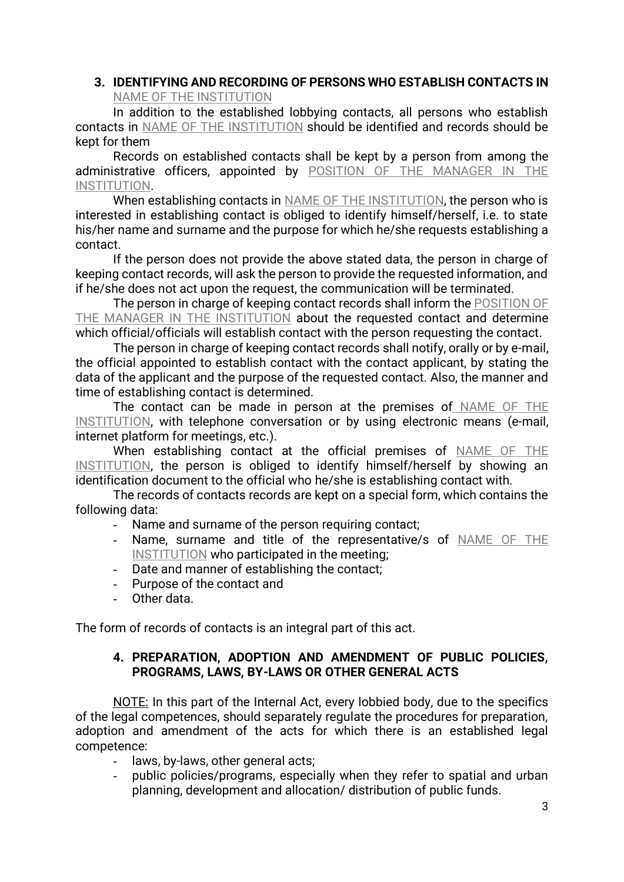#### **3. IDENTIFYING AND RECORDING OF PERSONS WHO ESTABLISH CONTACTS IN** NAME OF THE INSTITUTION

In addition to the established lobbying contacts, all persons who establish contacts in NAME OF THE INSTITUTION should be identified and records should be kept for them

Records on established contacts shall be kept by a person from among the administrative officers, appointed by POSITION OF THE MANAGER IN THE INSTITUTION.

When establishing contacts in NAME OF THE INSTITUTION, the person who is interested in establishing contact is obliged to identify himself/herself, i.e. to state his/her name and surname and the purpose for which he/she requests establishing a contact.

If the person does not provide the above stated data, the person in charge of keeping contact records, will ask the person to provide the requested information, and if he/she does not act upon the request, the communication will be terminated.

The person in charge of keeping contact records shall inform the POSITION OF THE MANAGER IN THE INSTITUTION about the requested contact and determine which official/officials will establish contact with the person requesting the contact.

The person in charge of keeping contact records shall notify, orally or by e-mail, the official appointed to establish contact with the contact applicant, by stating the data of the applicant and the purpose of the requested contact. Also, the manner and time of establishing contact is determined.

The contact can be made in person at the premises of NAME OF THE INSTITUTION, with telephone conversation or by using electronic means (e-mail, internet platform for meetings, etc.).

When establishing contact at the official premises of NAME OF THE INSTITUTION, the person is obliged to identify himself/herself by showing an identification document to the official who he/she is establishing contact with.

The records of contacts records are kept on a special form, which contains the following data:

- Name and surname of the person requiring contact;
- Name, surname and title of the representative/s of NAME OF THE INSTITUTION who participated in the meeting;
- Date and manner of establishing the contact;
- Purpose of the contact and
- Other data.

The form of records of contacts is an integral part of this act.

## **4. PREPARATION, ADOPTION AND AMENDMENT OF PUBLIC POLICIES, PROGRAMS, LAWS, BY-LAWS OR OTHER GENERAL ACTS**

NOTE: In this part of the Internal Act, every lobbied body, due to the specifics of the legal competences, should separately regulate the procedures for preparation, adoption and amendment of the acts for which there is an established legal competence:

- laws, by-laws, other general acts;
- public policies/programs, especially when they refer to spatial and urban planning, development and allocation/ distribution of public funds.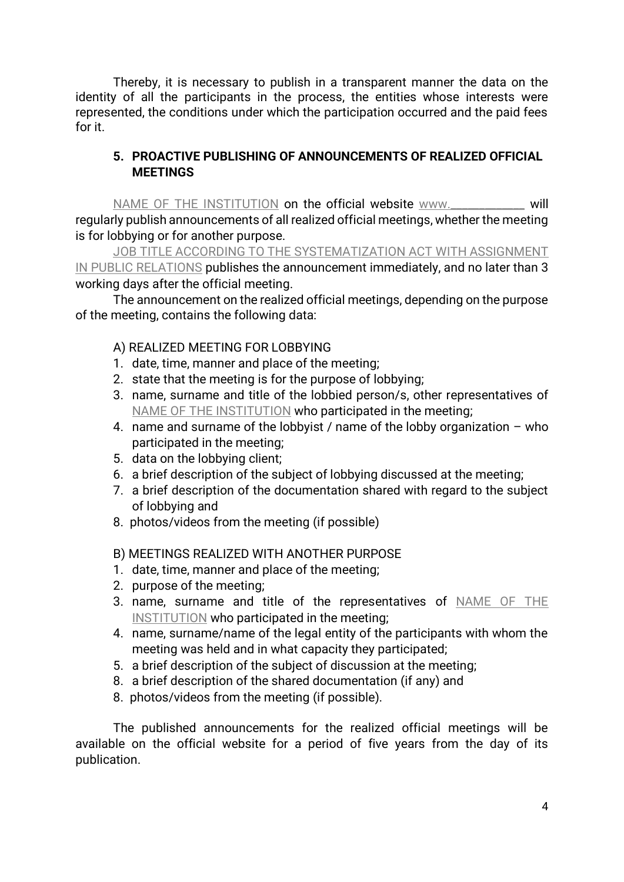Thereby, it is necessary to publish in a transparent manner the data on the identity of all the participants in the process, the entities whose interests were represented, the conditions under which the participation occurred and the paid fees for it.

## **5. PROACTIVE PUBLISHING OF ANNOUNCEMENTS OF REALIZED OFFICIAL MEETINGS**

NAME OF THE INSTITUTION on the official website [www.\\_\\_\\_\\_\\_\\_\\_\\_\\_\\_\\_\\_\\_](http://www._____________/) will regularly publish announcements of all realized official meetings, whether the meeting is for lobbying or for another purpose.

JOB TITLE ACCORDING TO THE SYSTEMATIZATION ACT WITH ASSIGNMENT IN PUBLIC RELATIONS publishes the announcement immediately, and no later than 3 working days after the official meeting.

The announcement on the realized official meetings, depending on the purpose of the meeting, contains the following data:

## А) REALIZED MEETING FOR LOBBYING

- 1. date, time, manner and place of the meeting;
- 2. state that the meeting is for the purpose of lobbying;
- 3. name, surname and title of the lobbied person/s, other representatives of NAME OF THE INSTITUTION who participated in the meeting;
- 4. name and surname of the lobbyist / name of the lobby organization who participated in the meeting;
- 5. data on the lobbying client;
- 6. a brief description of the subject of lobbying discussed at the meeting;
- 7. a brief description of the documentation shared with regard to the subject of lobbying and
- 8. photos/videos from the meeting (if possible)

# B) MEETINGS REALIZED WITH ANOTHER PURPOSE

- 1. date, time, manner and place of the meeting;
- 2. purpose of the meeting;
- 3. name, surname and title of the representatives of NAME OF THE INSTITUTION who participated in the meeting;
- 4. name, surname/name of the legal entity of the participants with whom the meeting was held and in what capacity they participated;
- 5. a brief description of the subject of discussion at the meeting;
- 8. a brief description of the shared documentation (if any) and
- 8. photos/videos from the meeting (if possible).

The published announcements for the realized official meetings will be available on the official website for a period of five years from the day of its publication.